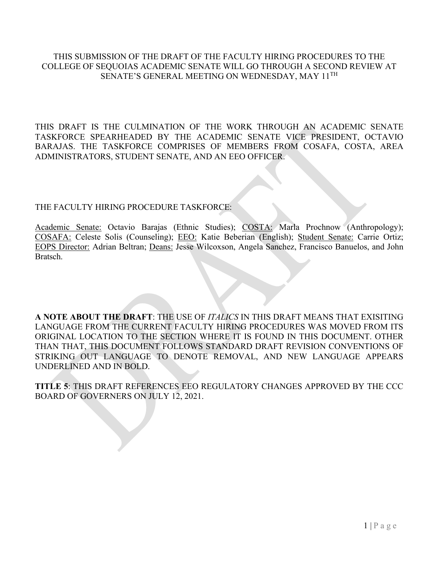#### THIS SUBMISSION OF THE DRAFT OF THE FACULTY HIRING PROCEDURES TO THE COLLEGE OF SEQUOIAS ACADEMIC SENATE WILL GO THROUGH A SECOND REVIEW AT SENATE'S GENERAL MEETING ON WEDNESDAY, MAY 11<sup>TH</sup>

THIS DRAFT IS THE CULMINATION OF THE WORK THROUGH AN ACADEMIC SENATE TASKFORCE SPEARHEADED BY THE ACADEMIC SENATE VICE PRESIDENT, OCTAVIO BARAJAS. THE TASKFORCE COMPRISES OF MEMBERS FROM COSAFA, COSTA, AREA ADMINISTRATORS, STUDENT SENATE, AND AN EEO OFFICER.

#### THE FACULTY HIRING PROCEDURE TASKFORCE:

Academic Senate: Octavio Barajas (Ethnic Studies); COSTA: Marla Prochnow (Anthropology); COSAFA: Celeste Solis (Counseling); EEO: Katie Beberian (English); Student Senate: Carrie Ortiz; EOPS Director: Adrian Beltran; Deans: Jesse Wilcoxson, Angela Sanchez, Francisco Banuelos, and John Bratsch.

**A NOTE ABOUT THE DRAFT**: THE USE OF *ITALICS* IN THIS DRAFT MEANS THAT EXISITING LANGUAGE FROM THE CURRENT FACULTY HIRING PROCEDURES WAS MOVED FROM ITS ORIGINAL LOCATION TO THE SECTION WHERE IT IS FOUND IN THIS DOCUMENT. OTHER THAN THAT, THIS DOCUMENT FOLLOWS STANDARD DRAFT REVISION CONVENTIONS OF STRIKING OUT LANGUAGE TO DENOTE REMOVAL, AND NEW LANGUAGE APPEARS UNDERLINED AND IN BOLD.

**TITLE 5**: THIS DRAFT REFERENCES EEO REGULATORY CHANGES APPROVED BY THE CCC BOARD OF GOVERNERS ON JULY 12, 2021.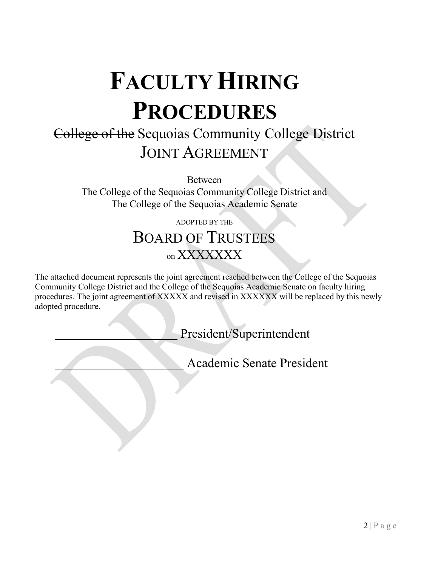# **FACULTY HIRING PROCEDURES**

# College of the Sequoias Community College District JOINT AGREEMENT

Between

The College of the Sequoias Community College District and The College of the Sequoias Academic Senate

> ADOPTED BY THE BOARD OF TRUSTEES on XXXXXXX

The attached document represents the joint agreement reached between the College of the Sequoias Community College District and the College of the Sequoias Academic Senate on faculty hiring procedures. The joint agreement of XXXXX and revised in XXXXXX will be replaced by this newly adopted procedure.

President/Superintendent

Academic Senate President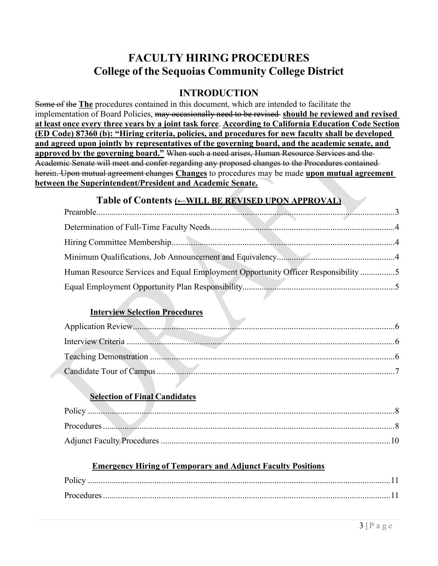# **FACULTY HIRING PROCEDURES College of the Sequoias Community College District**

# **INTRODUCTION**

Some of the **The** procedures contained in this document, which are intended to facilitate the implementation of Board Policies, may occasionally need to be revised **should be reviewed and revised at least once every three years by a joint task force**. **According to California Education Code Section (ED Code) 87360 (b): "Hiring criteria, policies, and procedures for new faculty shall be developed and agreed upon jointly by representatives of the governing board, and the academic senate, and approved by the governing board."** When such a need arises, Human Resource Services and the Academic Senate will meet and confer regarding any proposed changes to the Procedures contained herein. Upon mutual agreement changes **Changes** to procedures may be made **upon mutual agreement between the Superintendent/President and Academic Senate.**

# **Table of Contents (←WILL BE REVISED UPON APPROVAL)**

| Human Resource Services and Equal Employment Opportunity Officer Responsibility 5 |  |
|-----------------------------------------------------------------------------------|--|
|                                                                                   |  |
|                                                                                   |  |

# **Interview Selection [Procedures](#page-10-0)**

# **Selection of Final Candidates**

#### **Emergency Hiring of [Temporary](#page-17-0) and Adjunct Faculty Positions**

| Policy |  |
|--------|--|
|        |  |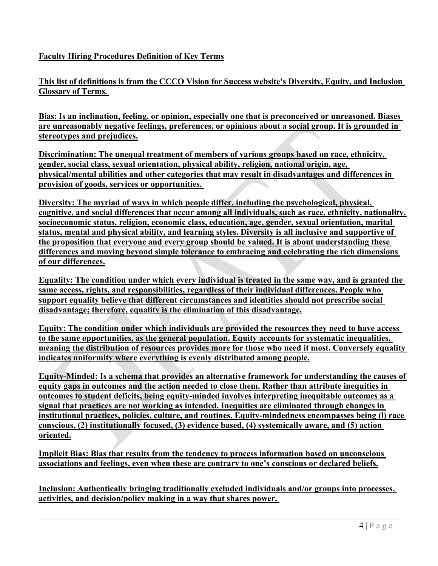#### <span id="page-3-0"></span>**Faculty Hiring Procedures Definition of Key Terms**

**This list of definitions is from the CCCO Vision for Success website's Diversity, Equity, and Inclusion Glossary of Terms.**

**Bias: Is an inclination, feeling, or opinion, especially one that is preconceived or unreasoned. Biases are unreasonably negative feelings, preferences, or opinions about a social group. It is grounded in stereotypes and prejudices.**

**Discrimination: The unequal treatment of members of various groups based on race, ethnicity, gender, social class, sexual orientation, physical ability, religion, national origin, age, physical/mental abilities and other categories that may result in disadvantages and differences in provision of goods, services or opportunities.** 

**Diversity: The myriad of ways in which people differ, including the psychological, physical, cognitive, and social differences that occur among all individuals, such as race, ethnicity, nationality, socioeconomic status, religion, economic class, education, age, gender, sexual orientation, marital status, mental and physical ability, and learning styles. Diversity is all inclusive and supportive of the proposition that everyone and every group should be valued. It is about understanding these differences and moving beyond simple tolerance to embracing and celebrating the rich dimensions of our differences.**

**Equality: The condition under which every individual is treated in the same way, and is granted the same access, rights, and responsibilities, regardless of their individual differences. People who support equality believe that different circumstances and identities should not prescribe social disadvantage; therefore, equality is the elimination of this disadvantage.**

**Equity: The condition under which individuals are provided the resources they need to have access to the same opportunities, as the general population. Equity accounts for systematic inequalities, meaning the distribution of resources provides more for those who need it most. Conversely equality indicates uniformity where everything is evenly distributed among people.**

**Equity-Minded: Is a schema that provides an alternative framework for understanding the causes of equity gaps in outcomes and the action needed to close them. Rather than attribute inequities in outcomes to student deficits, being equity-minded involves interpreting inequitable outcomes as a signal that practices are not working as intended. Inequities are eliminated through changes in institutional practices, policies, culture, and routines. Equity-mindedness encompasses being (l) race conscious, (2) institutionally focused, (3) evidence based, (4) systemically aware, and (5) action oriented.**

**Implicit Bias: Bias that results from the tendency to process information based on unconscious associations and feelings, even when these are contrary to one's conscious or declared beliefs.**

**Inclusion: Authentically bringing traditionally excluded individuals and/or groups into processes, activities, and decision/policy making in a way that shares power.**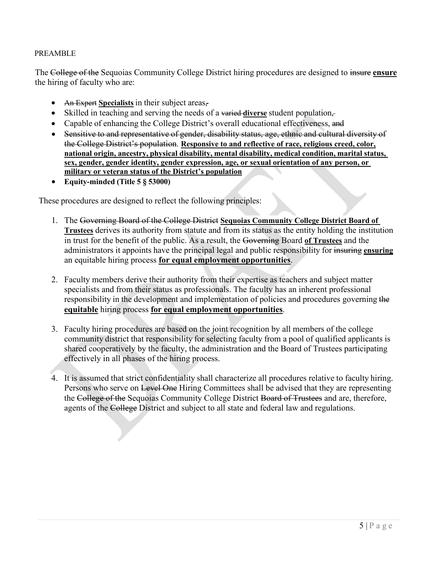#### PREAMBLE

The College of the Sequoias Community College District hiring procedures are designed to insure **ensure** the hiring of faculty who are:

- An Expert **Specialists** in their subject areas,
- Skilled in teaching and serving the needs of a varied **diverse** student population,
- Capable of enhancing the College District's overall educational effectiveness, and
- Sensitive to and representative of gender, disability status, age, ethnic and cultural diversity of the College District's population. **Responsive to and reflective of race, religious creed, color, national origin, ancestry, physical disability, mental disability, medical condition, marital status, sex, gender, gender identity, gender expression, age, or sexual orientation of any person, or military or veteran status of the District's population**
- **Equity-minded (Title 5 § 53000)**

These procedures are designed to reflect the following principles:

- 1. The Governing Board of the College District **Sequoias Community College District Board of Trustees** derives its authority from statute and from its status as the entity holding the institution in trust for the benefit of the public. As a result, the Governing Board **of Trustees** and the administrators it appoints have the principal legal and public responsibility for insuring **ensuring** an equitable hiring process **for equal employment opportunities**.
- 2. Faculty members derive their authority from their expertise as teachers and subject matter specialists and from their status as professionals. The faculty has an inherent professional responsibility in the development and implementation of policies and procedures governing the **equitable** hiring process **for equal employment opportunities**.
- 3. Faculty hiring procedures are based on the joint recognition by all members of the college community district that responsibility for selecting faculty from a pool of qualified applicants is shared cooperatively by the faculty, the administration and the Board of Trustees participating effectively in all phases of the hiring process.
- 4. It is assumed that strict confidentiality shall characterize all procedures relative to faculty hiring. Persons who serve on Level One Hiring Committees shall be advised that they are representing the College of the Sequoias Community College District Board of Trustees and are, therefore, agents of the College District and subject to all state and federal law and regulations.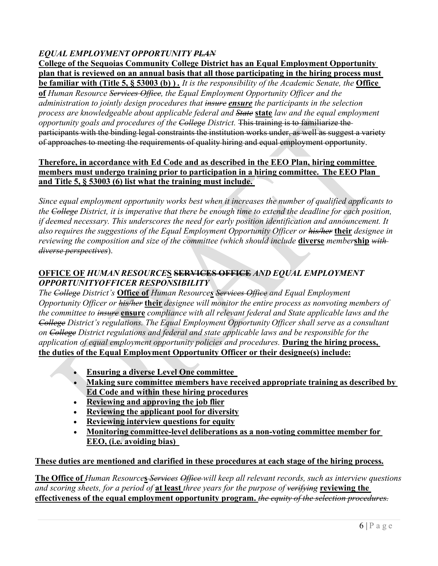#### <span id="page-5-0"></span>*EQUAL EMPLOYMENT OPPORTUNITY PLAN*

**College of the Sequoias Community College District has an Equal Employment Opportunity plan that is reviewed on an annual basis that all those participating in the hiring process must** 

**be familiar with (Title 5, § 53003 (b)).** It is the responsibility of the Academic Senate, the **Office of** *Human Resource Services Office, the Equal Employment Opportunity Officer and the administration to jointly design procedures that insure ensure the participants in the selection process are knowledgeable about applicable federal and State* **state** *law and the equal employment opportunity goals and procedures of the College District.* This training is to familiarize the participants with the binding legal constraints the institution works under, as well as suggest a variety of approaches to meeting the requirements of quality hiring and equal employment opportunity.

#### **Therefore, in accordance with Ed Code and as described in the EEO Plan, hiring committee members must undergo training prior to participation in a hiring committee. The EEO Plan and Title 5, § 53003 (6) list what the training must include.**

*Since equal employment opportunity works best when it increases the number of qualified applicants to the College District, it is imperative that there be enough time to extend the deadline for each position, if deemed necessary. This underscores the need for early position identification and announcement. It also requires the suggestions of the Equal Employment Opportunity Officer or his/her* **their** *designee in reviewing the composition and size of the committee (which should include* **diverse** *member***ship** *with diverse perspectives*).

#### **OFFICE OF** *HUMAN RESOURCE***S SERVICES OFFICE** *AND EQUAL EMPLOYMENT OPPORTUNITYOFFICER RESPONSIBILITY*

*The College District's* **Office of** *Human Resources Services Office and Equal Employment Opportunity Officer or his/her* **their** *designee will monitor the entire process as nonvoting members of the committee to insure* **ensure** *compliance with all relevant federal and State applicable laws and the College District's regulations. The Equal Employment Opportunity Officer shall serve as a consultant on College District regulations and federal and state applicable laws and be responsible for the application of equal employment opportunity policies and procedures.* **During the hiring process, the duties of the Equal Employment Opportunity Officer or their designee(s) include:**

- **Ensuring a diverse Level One committee**
- **Making sure committee members have received appropriate training as described by Ed Code and within these hiring procedures**
- **Reviewing and approving the job flier**
- **Reviewing the applicant pool for diversity**
- **Reviewing interview questions for equity**
- **Monitoring committee-level deliberations as a non-voting committee member for EEO, (i.e. avoiding bias)**

#### **These duties are mentioned and clarified in these procedures at each stage of the hiring process.**

The Office of Human Resources-Services Office-will keep all relevant records, such as interview questions *and scoring sheets, for a period of* **at least** *three years for the purpose of verifying* **reviewing the effectiveness of the equal employment opportunity program.** *the equity of the selection procedures.*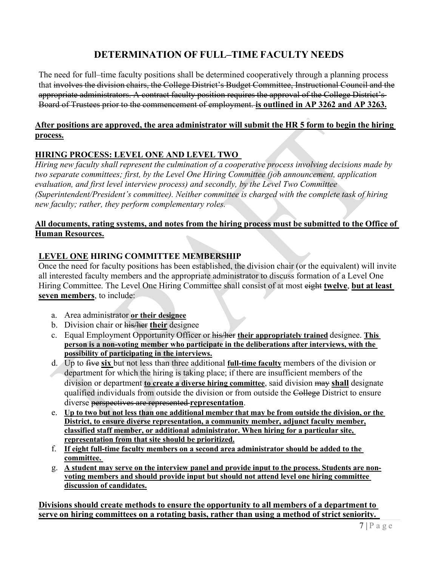# **DETERMINATION OF FULL–TIME FACULTY NEEDS**

The need for full–time faculty positions shall be determined cooperatively through a planning process that involves the division chairs, the College District's Budget Committee, Instructional Council and the appropriate administrators. A contract faculty position requires the approval of the College District's Board of Trustees prior to the commencement of employment. **is outlined in AP 3262 and AP 3263.**

#### **After positions are approved, the area administrator will submit the HR 5 form to begin the hiring process.**

#### **HIRING PROCESS: LEVEL ONE AND LEVEL TWO**

*Hiring new faculty shall represent the culmination of a cooperative process involving decisions made by two separate committees; first, by the Level One Hiring Committee (job announcement, application evaluation, and first level interview process) and secondly, by the Level Two Committee (Superintendent/President's committee). Neither committee is charged with the complete task of hiring new faculty; rather, they perform complementary roles.*

#### **All documents, rating systems, and notes from the hiring process must be submitted to the Office of Human Resources.**

#### <span id="page-6-0"></span>**LEVEL ONE HIRING COMMITTEE MEMBERSHIP**

Once the need for faculty positions has been established, the division chair (or the equivalent) will invite all interested faculty members and the appropriate administrator to discuss formation of a Level One Hiring Committee. The Level One Hiring Committee shall consist of at most eight **twelve**, **but at least seven members**, to include:

- a. Area administrator **or their designee**
- b. Division chair or his/her **their** designee
- c. Equal Employment Opportunity Officer or his/her **their appropriately trained** designee. **This person is a non-voting member who participate in the deliberations after interviews, with the possibility of participating in the interviews.**
- d. Up to five **six** but not less than three additional **full-time faculty** members of the division or department for which the hiring is taking place; if there are insufficient members of the division or department **to create a diverse hiring committee**, said division may **shall** designate qualified individuals from outside the division or from outside the College District to ensure diverse perspectives are represented **representation**.
- e. Up to two but not less than one additional member that may be from outside the division, or the **District, to ensure diverse representation, a community member, adjunct faculty member, classified staff member, or additional administrator. When hiring for a particular site, representation from that site should be prioritized.**
- f. **If eight full-time faculty members on a second area administrator should be added to the committee.**
- g. **A student may serve on the interview panel and provide input to the process. Students are nonvoting members and should provide input but should not attend level one hiring committee discussion of candidates.**

**Divisions should create methods to ensure the opportunity to all members of a department to serve on hiring committees on a rotating basis, rather than using a method of strict seniority.**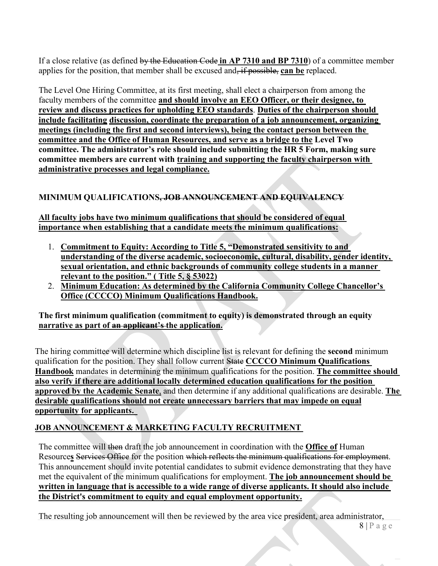If a close relative (as defined by the Education Code **in AP 7310 and BP 7310**) of a committee member applies for the position, that member shall be excused and, if possible, **can be** replaced.

The Level One Hiring Committee, at its first meeting, shall elect a chairperson from among the faculty members of the committee **and should involve an EEO Officer, or their designee, to review and discuss practices for upholding EEO standards**. **Duties of the chairperson should include facilitating discussion, coordinate the preparation of a job announcement, organizing meetings (including the first and second interviews), being the contact person between the committee and the Office of Human Resources, and serve as a bridge to the Level Two committee. The administrator's role should include submitting the HR 5 Form, making sure committee members are current with training and supporting the faculty chairperson with administrative processes and legal compliance.**

# <span id="page-7-0"></span>**MINIMUM QUALIFICATIONS, JOB ANNOUNCEMENT AND EQUIVALENCY**

**All faculty jobs have two minimum qualifications that should be considered of equal importance when establishing that a candidate meets the minimum qualifications:**

- 1. **Commitment to Equity: According to Title 5, "Demonstrated sensitivity to and understanding of the diverse academic, socioeconomic, cultural, disability, gender identity, sexual orientation, and ethnic backgrounds of community college students in a manner relevant to the position." ( Title 5, § 53022)**
- 2. **Minimum Education: As determined by the California Community College Chancellor's Office (CCCCO) Minimum Qualifications Handbook.**

**The first minimum qualification (commitment to equity) is demonstrated through an equity narrative as part of an applicant's the application.**

The hiring committee will determine which discipline list is relevant for defining the **second** minimum qualification for the position. They shall follow current State **CCCCO Minimum Qualifications Handbook** mandates in determining the minimum qualifications for the position. **The committee should also verify if there are additional locally determined education qualifications for the position approved by the Academic Senate**, and then determine if any additional qualifications are desirable. **The desirable qualifications should not create unnecessary barriers that may impede on equal opportunity for applicants.**

# **JOB ANNOUNCEMENT & MARKETING FACULTY RECRUITMENT**

The committee will then draft the job announcement in coordination with the **Office of** Human Resource**s** Services Office for the position which reflects the minimum qualifications for employment. This announcement should invite potential candidates to submit evidence demonstrating that they have met the equivalent of the minimum qualifications for employment. **The job announcement should be written in language that is accessible to a wide range of diverse applicants. It should also include the District's commitment to equity and equal employment opportunity.**

The resulting job announcement will then be reviewed by the area vice president, area administrator,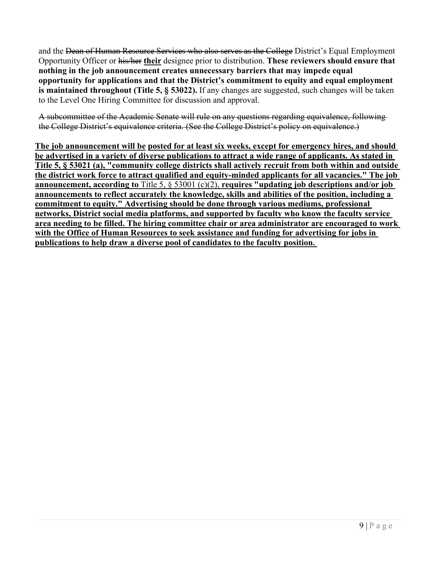and the Dean of Human Resource Services who also serves as the College District's Equal Employment Opportunity Officer or his/her **their** designee prior to distribution. **These reviewers should ensure that nothing in the job announcement creates unnecessary barriers that may impede equal opportunity for applications and that the District's commitment to equity and equal employment is maintained throughout (Title 5, § 53022).** If any changes are suggested, such changes will be taken to the Level One Hiring Committee for discussion and approval.

A subcommittee of the Academic Senate will rule on any questions regarding equivalence, following the College District's equivalence criteria. (See the College District's policy on equivalence.)

**The job announcement will be posted for at least six weeks, except for emergency hires, and should be advertised in a variety of diverse publications to attract a wide range of applicants. As stated in Title 5, § 53021 (a), "community college districts shall actively recruit from both within and outside the district work force to attract qualified and equity-minded applicants for all vacancies." The job announcement, according to** Title 5, § 53001 (c)(2), **requires "updating job descriptions and/or job announcements to reflect accurately the knowledge, skills and abilities of the position, including a commitment to equity." Advertising should be done through various mediums, professional networks, District social media platforms, and supported by faculty who know the faculty service area needing to be filled. The hiring committee chair or area administrator are encouraged to work with the Office of Human Resources to seek assistance and funding for advertising for jobs in publications to help draw a diverse pool of candidates to the faculty position.**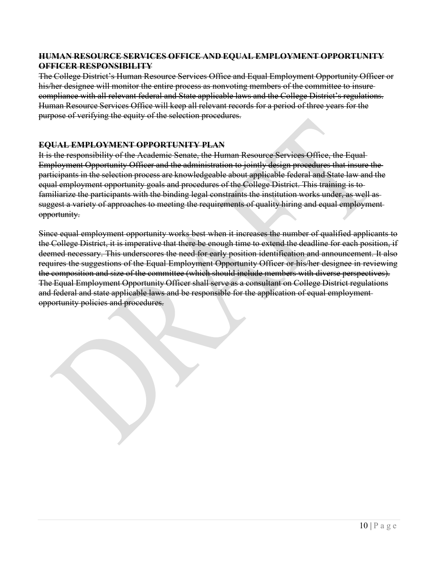#### **HUMAN RESOURCE SERVICES OFFICE AND EQUAL EMPLOYMENT OPPORTUNITY OFFICER RESPONSIBILITY**

The College District's Human Resource Services Office and Equal Employment Opportunity Officer or his/her designee will monitor the entire process as nonvoting members of the committee to insure compliance with all relevant federal and State applicable laws and the College District's regulations. Human Resource Services Office will keep all relevant records for a period of three years for the purpose of verifying the equity of the selection procedures.

#### **EQUAL EMPLOYMENT OPPORTUNITY PLAN**

It is the responsibility of the Academic Senate, the Human Resource Services Office, the Equal Employment Opportunity Officer and the administration to jointly design procedures that insure the participants in the selection process are knowledgeable about applicable federal and State law and the equal employment opportunity goals and procedures of the College District. This training is to familiarize the participants with the binding legal constraints the institution works under, as well as suggest a variety of approaches to meeting the requirements of quality hiring and equal employmentopportunity.

Since equal employment opportunity works best when it increases the number of qualified applicants to the College District, it is imperative that there be enough time to extend the deadline for each position, if deemed necessary. This underscores the need for early position identification and announcement. It also requires the suggestions of the Equal Employment Opportunity Officer or his/her designee in reviewing the composition and size of the committee (which should include members with diverse perspectives). The Equal Employment Opportunity Officer shall serve as a consultant on College District regulations and federal and state applicable laws and be responsible for the application of equal employment opportunity policies and procedures.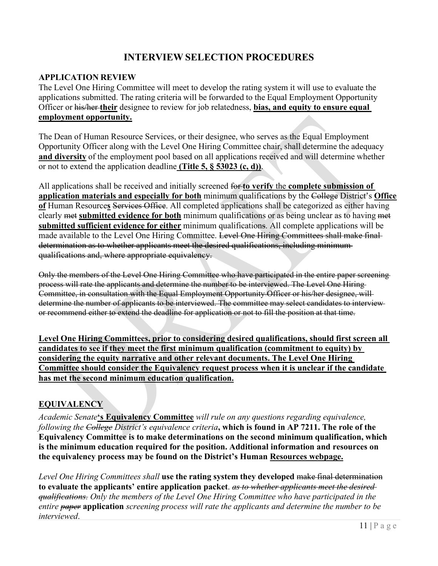# **INTERVIEW SELECTION PROCEDURES**

#### <span id="page-10-1"></span><span id="page-10-0"></span>**APPLICATION REVIEW**

The Level One Hiring Committee will meet to develop the rating system it will use to evaluate the applications submitted. The rating criteria will be forwarded to the Equal Employment Opportunity Officer or his/her **their** designee to review for job relatedness, **bias, and equity to ensure equal employment opportunity.**

The Dean of Human Resource Services, or their designee, who serves as the Equal Employment Opportunity Officer along with the Level One Hiring Committee chair, shall determine the adequacy **and diversity** of the employment pool based on all applications received and will determine whether or not to extend the application deadline **(Title 5, § 53023 (c, d))**.

All applications shall be received and initially screened for **to verify** the **complete submission of application materials and especially for both** minimum qualifications by the College District's **Office of** Human Resources Services Office. All completed applications shall be categorized as either having clearly met **submitted evidence for both** minimum qualifications or as being unclear as to having met **submitted sufficient evidence for either** minimum qualifications. All complete applications will be made available to the Level One Hiring Committee. Level One Hiring Committees shall make finaldetermination as to whether applicants meet the desired qualifications, including minimum qualifications and, where appropriate equivalency.

Only the members of the Level One Hiring Committee who have participated in the entire paper screening process will rate the applicants and determine the number to be interviewed. The Level One Hiring Committee, in consultation with the Equal Employment Opportunity Officer or his/her designee, will determine the number of applicants to be interviewed. The committee may select candidates to interviewor recommend either to extend the deadline for application or not to fill the position at that time.

**Level One Hiring Committees, prior to considering desired qualifications, should first screen all candidates to see if they meet the first minimum qualification (commitment to equity) by considering the equity narrative and other relevant documents. The Level One Hiring Committee should consider the Equivalency request process when it is unclear if the candidate has met the second minimum education qualification.**

#### **EQUIVALENCY**

*Academic Senate***'s Equivalency Committee** *will rule on any questions regarding equivalence, following the College District's equivalence criteria***, which is found in AP 7211. The role of the Equivalency Committee is to make determinations on the second minimum qualification, which is the minimum education required for the position. Additional information and resources on the equivalency process may be found on the District's Human Resources webpage.**

*Level One Hiring Committees shall* **use the rating system they developed** make final determination **to evaluate the applicants' entire application packet**. *as to whether applicants meet the desired qualifications. Only the members of the Level One Hiring Committee who have participated in the entire paper* **application** *screening process will rate the applicants and determine the number to be interviewed*.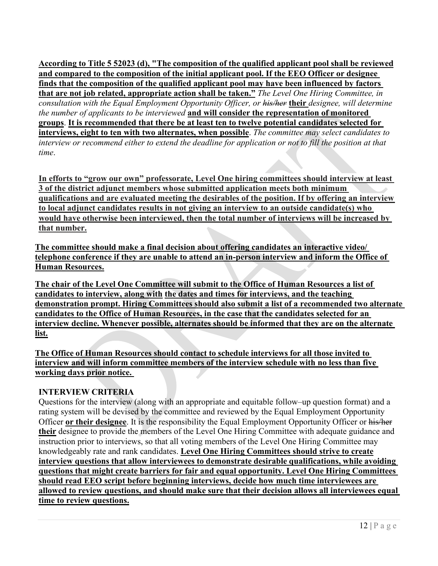**According to Title 5 52023 (d), "The composition of the qualified applicant pool shall be reviewed and compared to the composition of the initial applicant pool. If the EEO Officer or designee finds that the composition of the qualified applicant pool may have been influenced by factors that are not job related, appropriate action shall be taken."** *The Level One Hiring Committee, in consultation with the Equal Employment Opportunity Officer, or his/her* **their** *designee, will determine the number of applicants to be interviewed* **and will consider the representation of monitored groups**. **It is recommended that there be at least ten to twelve potential candidates selected for interviews, eight to ten with two alternates, when possible**. *The committee may select candidates to interview or recommend either to extend the deadline for application or not to fill the position at that time*.

**In efforts to "grow our own" professorate, Level One hiring committees should interview at least 3 of the district adjunct members whose submitted application meets both minimum qualifications and are evaluated meeting the desirables of the position. If by offering an interview to local adjunct candidates results in not giving an interview to an outside candidate(s) who would have otherwise been interviewed, then the total number of interviews will be increased by that number.**

<span id="page-11-0"></span>**The committee should make a final decision about offering candidates an interactive video/ telephone conference if they are unable to attend an in-person interview and inform the Office of Human Resources.**

**The chair of the Level One Committee will submit to the Office of Human Resources a list of candidates to interview, along with the dates and times for interviews, and the teaching demonstration prompt. Hiring Committees should also submit a list of a recommended two alternate candidates to the Office of Human Resources, in the case that the candidates selected for an interview decline. Whenever possible, alternates should be informed that they are on the alternate list.**

**The Office of Human Resources should contact to schedule interviews for all those invited to interview and will inform committee members of the interview schedule with no less than five working days prior notice.** 

#### **INTERVIEW CRITERIA**

Questions for the interview (along with an appropriate and equitable follow–up question format) and a rating system will be devised by the committee and reviewed by the Equal Employment Opportunity Officer **or their designee**. It is the responsibility the Equal Employment Opportunity Officer or his/her **their** designee to provide the members of the Level One Hiring Committee with adequate guidance and instruction prior to interviews, so that all voting members of the Level One Hiring Committee may knowledgeably rate and rank candidates. **Level One Hiring Committees should strive to create interview questions that allow interviewees to demonstrate desirable qualifications, while avoiding questions that might create barriers for fair and equal opportunity. Level One Hiring Committees should read EEO script before beginning interviews, decide how much time interviewees are allowed to review questions, and should make sure that their decision allows all interviewees equal time to review questions.**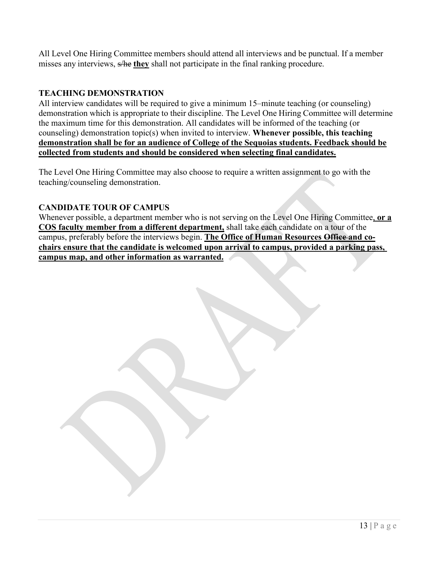All Level One Hiring Committee members should attend all interviews and be punctual. If a member misses any interviews, s/he **they** shall not participate in the final ranking procedure.

#### <span id="page-12-0"></span>**TEACHING DEMONSTRATION**

All interview candidates will be required to give a minimum 15–minute teaching (or counseling) demonstration which is appropriate to their discipline. The Level One Hiring Committee will determine the maximum time for this demonstration. All candidates will be informed of the teaching (or counseling) demonstration topic(s) when invited to interview. **Whenever possible, this teaching demonstration shall be for an audience of College of the Sequoias students. Feedback should be collected from students and should be considered when selecting final candidates.**

The Level One Hiring Committee may also choose to require a written assignment to go with the teaching/counseling demonstration.

#### <span id="page-12-1"></span>**CANDIDATE TOUR OF CAMPUS**

Whenever possible, a department member who is not serving on the Level One Hiring Committee, **or a COS faculty member from a different department,** shall take each candidate on a tour of the campus, preferably before the interviews begin. **The Office of Human Resources Office and cochairs ensure that the candidate is welcomed upon arrival to campus, provided a parking pass, campus map, and other information as warranted.**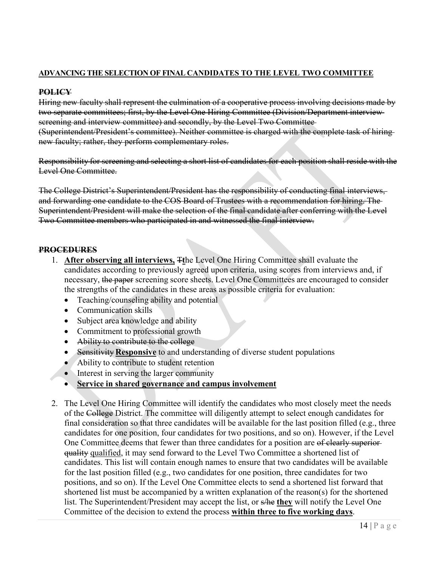#### **ADVANCING THE SELECTION OF FINAL CANDIDATES TO THE LEVEL TWO COMMITTEE**

#### <span id="page-13-0"></span>**POLICY**

Hiring new faculty shall represent the culmination of a cooperative process involving decisions made by two separate committees; first, by the Level One Hiring Committee (Division/Department interview screening and interview committee) and secondly, by the Level Two Committee (Superintendent/President's committee). Neither committee is charged with the complete task of hiring new faculty; rather, they perform complementary roles.

Responsibility for screening and selecting a short list of candidates for each position shall reside with the Level One Committee.

The College District's Superintendent/President has the responsibility of conducting final interviews, and forwarding one candidate to the COS Board of Trustees with a recommendation for hiring. The Superintendent/President will make the selection of the final candidate after conferring with the Level Two Committee members who participated in and witnessed the final interview.

#### <span id="page-13-1"></span>**PROCEDURES**

- 1. **After observing all interviews,** T**t**he Level One Hiring Committee shall evaluate the candidates according to previously agreed upon criteria, using scores from interviews and, if necessary, the paper screening score sheets. Level One Committees are encouraged to consider the strengths of the candidates in these areas as possible criteria for evaluation:
	- Teaching/counseling ability and potential
	- Communication skills
	- Subject area knowledge and ability
	- Commitment to professional growth
	- Ability to contribute to the college
	- Sensitivity **Responsive** to and understanding of diverse student populations
	- Ability to contribute to student retention
	- Interest in serving the larger community
	- **Service in shared governance and campus involvement**
- 2. The Level One Hiring Committee will identify the candidates who most closely meet the needs of the College District. The committee will diligently attempt to select enough candidates for final consideration so that three candidates will be available for the last position filled (e.g., three candidates for one position, four candidates for two positions, and so on). However, if the Level One Committee deems that fewer than three candidates for a position are of clearly superiorquality qualified, it may send forward to the Level Two Committee a shortened list of candidates. This list will contain enough names to ensure that two candidates will be available for the last position filled (e.g., two candidates for one position, three candidates for two positions, and so on). If the Level One Committee elects to send a shortened list forward that shortened list must be accompanied by a written explanation of the reason(s) for the shortened list. The Superintendent/President may accept the list, or s/he **they** will notify the Level One Committee of the decision to extend the process **within three to five working days**.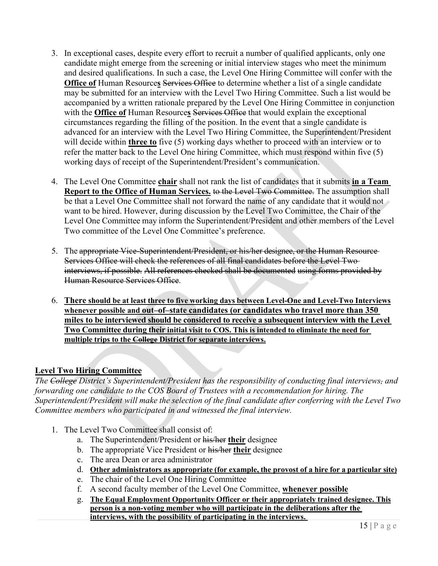- 3. In exceptional cases, despite every effort to recruit a number of qualified applicants, only one candidate might emerge from the screening or initial interview stages who meet the minimum and desired qualifications. In such a case, the Level One Hiring Committee will confer with the **Office of** Human Resources Services Office to determine whether a list of a single candidate may be submitted for an interview with the Level Two Hiring Committee. Such a list would be accompanied by a written rationale prepared by the Level One Hiring Committee in conjunction with the **Office of** Human Resource**s** Services Office that would explain the exceptional circumstances regarding the filling of the position. In the event that a single candidate is advanced for an interview with the Level Two Hiring Committee, the Superintendent/President will decide within **three to** five (5) working days whether to proceed with an interview or to refer the matter back to the Level One hiring Committee, which must respond within five (5) working days of receipt of the Superintendent/President's communication.
- 4. The Level One Committee **chair** shall not rank the list of candidates that it submits **in a Team Report to the Office of Human Services.** to the Level Two Committee. The assumption shall be that a Level One Committee shall not forward the name of any candidate that it would not want to be hired. However, during discussion by the Level Two Committee, the Chair of the Level One Committee may inform the Superintendent/President and other members of the Level Two committee of the Level One Committee's preference.
- 5. The appropriate Vice-Superintendent/President, or his/her designee, or the Human Resource-Services Office will check the references of all final candidates before the Level Two interviews, if possible. All references checked shall be documented using forms provided by Human Resource Services Office.
- 6. **There should be at least three to five working days between Level-One and Level-Two Interviews whenever possible and out–of–state candidates (or candidates who travel more than 350 miles to be interviewed should be considered to receive a subsequent interview with the Level Two Committee during their initial visit to COS. This is intended to eliminate the need for multiple trips to the College District for separate interviews.**

#### **Level Two Hiring Committee**

*The College District's Superintendent/President has the responsibility of conducting final interviews, and forwarding one candidate to the COS Board of Trustees with a recommendation for hiring. The Superintendent/President will make the selection of the final candidate after conferring with the Level Two Committee members who participated in and witnessed the final interview.*

- 1. The Level Two Committee shall consist of:
	- a. The Superintendent/President or his/her **their** designee
	- b. The appropriate Vice President or his/her **their** designee
	- c. The area Dean or area administrator
	- d. **Other administrators as appropriate (for example, the provost of a hire for a particular site)**
	- e. The chair of the Level One Hiring Committee
	- f. A second faculty member of the Level One Committee, **whenever possible**
	- g. **The Equal Employment Opportunity Officer or their appropriately trained designee. This person is a non-voting member who will participate in the deliberations after the interviews, with the possibility of participating in the interviews.**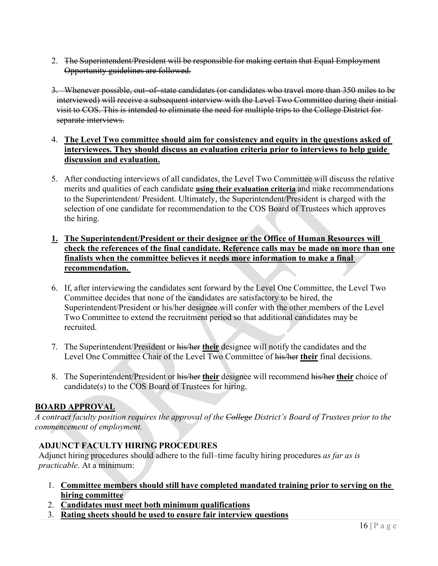- 2. The Superintendent/President will be responsible for making certain that Equal Employment Opportunity guidelines are followed.
- 3. Whenever possible, out–of–state candidates (or candidates who travel more than 350 miles to be interviewed) will receive a subsequent interview with the Level Two Committee during their initial visit to COS. This is intended to eliminate the need for multiple trips to the College District for separate interviews.

#### 4. **The Level Two committee should aim for consistency and equity in the questions asked of interviewees. They should discuss an evaluation criteria prior to interviews to help guide discussion and evaluation.**

- 5. After conducting interviews of all candidates, the Level Two Committee will discuss the relative merits and qualities of each candidate **using their evaluation criteria** and make recommendations to the Superintendent/ President. Ultimately, the Superintendent/President is charged with the selection of one candidate for recommendation to the COS Board of Trustees which approves the hiring.
- **1. The Superintendent/President or their designee or the Office of Human Resources will check the references of the final candidate. Reference calls may be made on more than one finalists when the committee believes it needs more information to make a final recommendation.**
- 6. If, after interviewing the candidates sent forward by the Level One Committee, the Level Two Committee decides that none of the candidates are satisfactory to be hired, the Superintendent/President or his/her designee will confer with the other members of the Level Two Committee to extend the recruitment period so that additional candidates may be recruited.
- 7. The Superintendent/President or his/her **their** designee will notify the candidates and the Level One Committee Chair of the Level Two Committee of his/her **their** final decisions.
- 8. The Superintendent/President or his/her **their** designee will recommend his/her **their** choice of candidate(s) to the COS Board of Trustees for hiring.

#### **BOARD APPROVAL**

A contract faculty position requires the approval of the College District's Board of Trustees prior to the *commencement of employment.*

#### <span id="page-15-0"></span>**ADJUNCT FACULTY HIRING PROCEDURES**

Adjunct hiring procedures should adhere to the full–time faculty hiring procedures *as far as is practicable*. At a minimum:

- 1. **Committee members should still have completed mandated training prior to serving on the hiring committee**
- 2. **Candidates must meet both minimum qualifications**
- 3. **Rating sheets should be used to ensure fair interview questions**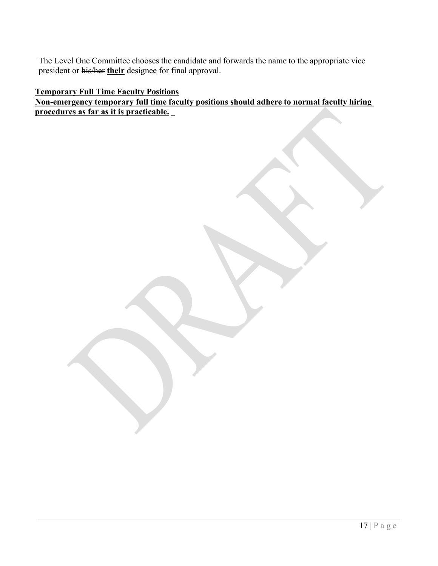The Level One Committee chooses the candidate and forwards the name to the appropriate vice president or his/her **their** designee for final approval.

#### **Temporary Full Time Faculty Positions**

**Non-emergency temporary full time faculty positions should adhere to normal faculty hiring procedures as far as it is practicable.**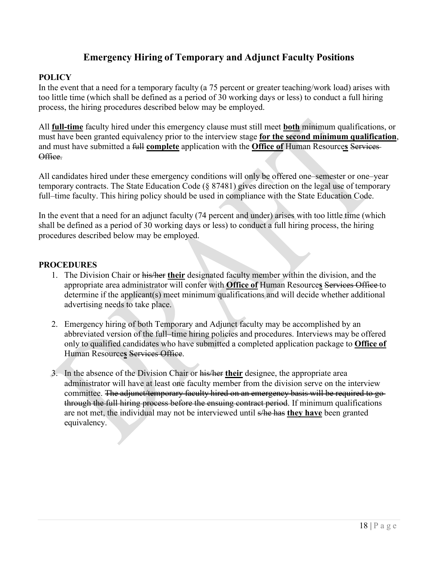# **Emergency Hiring of Temporary and Adjunct Faculty Positions**

#### <span id="page-17-1"></span><span id="page-17-0"></span>**POLICY**

In the event that a need for a temporary faculty (a 75 percent or greater teaching/work load) arises with too little time (which shall be defined as a period of 30 working days or less) to conduct a full hiring process, the hiring procedures described below may be employed.

All **full-time** faculty hired under this emergency clause must still meet **both** minimum qualifications, or must have been granted equivalency prior to the interview stage **for the second minimum qualification**, and must have submitted a full **complete** application with the **Office of** Human Resource**s** Services Office.

All candidates hired under these emergency conditions will only be offered one–semester or one–year temporary contracts. The State Education Code (§ 87481) gives direction on the legal use of temporary full–time faculty. This hiring policy should be used in compliance with the State Education Code.

In the event that a need for an adjunct faculty (74 percent and under) arises with too little time (which shall be defined as a period of 30 working days or less) to conduct a full hiring process, the hiring procedures described below may be employed.

#### <span id="page-17-2"></span>**PROCEDURES**

- 1. The Division Chair or his/her **their** designated faculty member within the division, and the appropriate area administrator will confer with **Office of** Human Resource**s** Services Office to determine if the applicant(s) meet minimum qualifications and will decide whether additional advertising needs to take place.
- 2. Emergency hiring of both Temporary and Adjunct faculty may be accomplished by an abbreviated version of the full–time hiring policies and procedures. Interviews may be offered only to qualified candidates who have submitted a completed application package to **Office of** Human Resource**s** Services Office.
- 3. In the absence of the Division Chair or his/her **their** designee, the appropriate area administrator will have at least one faculty member from the division serve on the interview committee. The adjunct/temporary faculty hired on an emergency basis will be required to gothrough the full hiring process before the ensuing contract period. If minimum qualifications are not met, the individual may not be interviewed until s/he has **they have** been granted equivalency.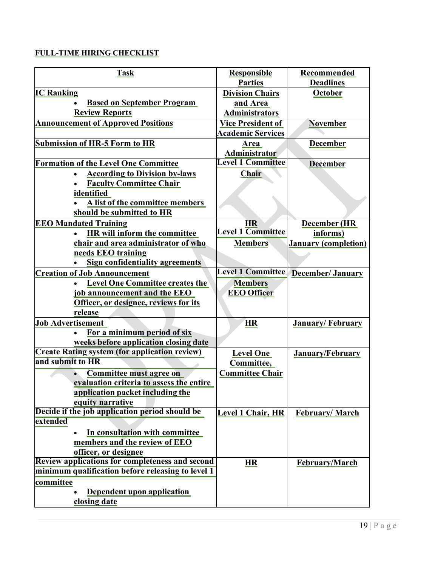# **FULL-TIME HIRING CHECKLIST**

| <b>Task</b>                                            | <b>Responsible</b>       | Recommended                 |
|--------------------------------------------------------|--------------------------|-----------------------------|
|                                                        | <b>Parties</b>           | <b>Deadlines</b>            |
| <b>IC Ranking</b>                                      | <b>Division Chairs</b>   | October                     |
| <b>Based on September Program</b>                      | and Area                 |                             |
| <b>Review Reports</b>                                  | <b>Administrators</b>    |                             |
| <b>Announcement of Approved Positions</b>              | <b>Vice President of</b> | <b>November</b>             |
|                                                        | <b>Academic Services</b> |                             |
| <b>Submission of HR-5 Form to HR</b>                   | <u>Area</u>              | <b>December</b>             |
|                                                        | Administrator            |                             |
| <b>Formation of the Level One Committee</b>            | <b>Level 1 Committee</b> | <b>December</b>             |
| <b>According to Division by-laws</b>                   | Chair                    |                             |
| <b>Faculty Committee Chair</b>                         |                          |                             |
| identified                                             |                          |                             |
| A list of the committee members                        |                          |                             |
| should be submitted to HR                              |                          |                             |
| <b>EEO Mandated Training</b>                           | <b>HR</b>                | <b>December</b> (HR         |
| HR will inform the committee                           | <b>Level 1 Committee</b> | informs)                    |
| chair and area administrator of who                    | <b>Members</b>           | <b>January (completion)</b> |
| needs EEO training                                     |                          |                             |
| <b>Sign confidentiality agreements</b>                 |                          |                             |
| <b>Creation of Job Announcement</b>                    | <b>Level 1 Committee</b> | <b>December/January</b>     |
| <b>Level One Committee creates the</b>                 | <b>Members</b>           |                             |
| job announcement and the EEO                           | <b>EEO Officer</b>       |                             |
| Officer, or designee, reviews for its                  |                          |                             |
| release                                                |                          |                             |
| <b>Job Advertisement</b>                               | <b>HR</b>                | <b>January/February</b>     |
| For a minimum period of six<br>$\bullet$               |                          |                             |
| weeks before application closing date                  |                          |                             |
| <b>Create Rating system (for application review)</b>   | <b>Level One</b>         | January/February            |
| and submit to HR                                       | Committee,               |                             |
| <b>Committee must agree on</b><br>$\bullet$            | <b>Committee Chair</b>   |                             |
| evaluation criteria to assess the entire               |                          |                             |
| application packet including the                       |                          |                             |
| equity narrative                                       |                          |                             |
| Decide if the job application period should be         | <b>Level 1 Chair, HR</b> | <b>February/March</b>       |
| extended                                               |                          |                             |
| In consultation with committee                         |                          |                             |
| members and the review of EEO                          |                          |                             |
| officer, or designee                                   |                          |                             |
| <b>Review applications for completeness and second</b> | HR                       | <b>February/March</b>       |
| minimum qualification before releasing to level 1      |                          |                             |
| committee                                              |                          |                             |
| Dependent upon application                             |                          |                             |
| closing date                                           |                          |                             |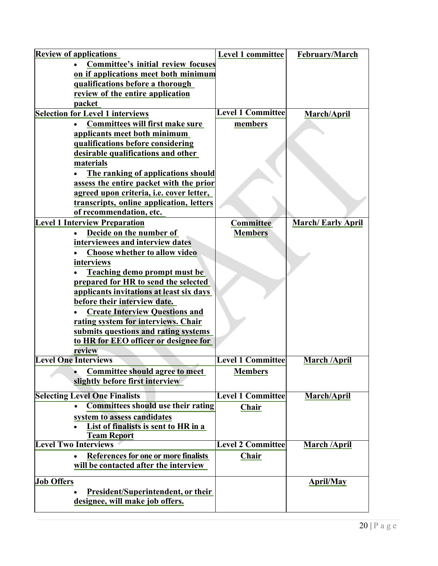| <b>Review of applications</b>                     | <b>Level 1 committee</b> | February/March           |
|---------------------------------------------------|--------------------------|--------------------------|
| Committee's initial review focuses                |                          |                          |
| on if applications meet both minimum              |                          |                          |
| qualifications before a thorough                  |                          |                          |
| review of the entire application                  |                          |                          |
| packet                                            |                          |                          |
| <b>Selection for Level 1 interviews</b>           | <b>Level 1 Committee</b> | <b>March/April</b>       |
| <b>Committees will first make sure</b>            | members                  |                          |
| applicants meet both minimum                      |                          |                          |
| qualifications before considering                 |                          |                          |
| desirable qualifications and other                |                          |                          |
| materials                                         |                          |                          |
| The ranking of applications should                |                          |                          |
| assess the entire packet with the prior           |                          |                          |
| agreed upon criteria, i.e. cover letter,          |                          |                          |
| transcripts, online application, letters          |                          |                          |
| of recommendation, etc.                           |                          |                          |
| <b>Level 1 Interview Preparation</b>              | Committee                | <b>March/Early April</b> |
| Decide on the number of                           | <b>Members</b>           |                          |
| interviewees and interview dates                  |                          |                          |
| <b>Choose whether to allow video</b>              |                          |                          |
| interviews                                        |                          |                          |
| <b>Teaching demo prompt must be</b>               |                          |                          |
| prepared for HR to send the selected              |                          |                          |
| applicants invitations at least six days          |                          |                          |
| before their interview date.                      |                          |                          |
| <b>Create Interview Questions and</b>             |                          |                          |
| rating system for interviews. Chair               |                          |                          |
| submits questions and rating systems              |                          |                          |
| to HR for EEO officer or designee for             |                          |                          |
| review                                            |                          |                          |
| <b>Level One Interviews</b>                       | <b>Level 1 Committee</b> | <b>March /April</b>      |
| <b>Committee should agree to meet</b>             | <b>Members</b>           |                          |
| slightly before first interview                   |                          |                          |
| <b>Selecting Level One Finalists</b>              | <b>Level 1 Committee</b> | March/April              |
| <b>Committees should use their rating</b>         | <b>Chair</b>             |                          |
| system to assess candidates                       |                          |                          |
| List of finalists is sent to HR in a              |                          |                          |
| <b>Team Report</b>                                |                          |                          |
| <b>Level Two Interviews</b>                       | <b>Level 2 Committee</b> | <b>March /April</b>      |
| References for one or more finalists<br>$\bullet$ | Chair                    |                          |
| will be contacted after the interview             |                          |                          |
|                                                   |                          |                          |
| <b>Job Offers</b>                                 |                          | <b>April/May</b>         |
| President/Superintendent, or their                |                          |                          |
| designee, will make job offers.                   |                          |                          |
|                                                   |                          |                          |